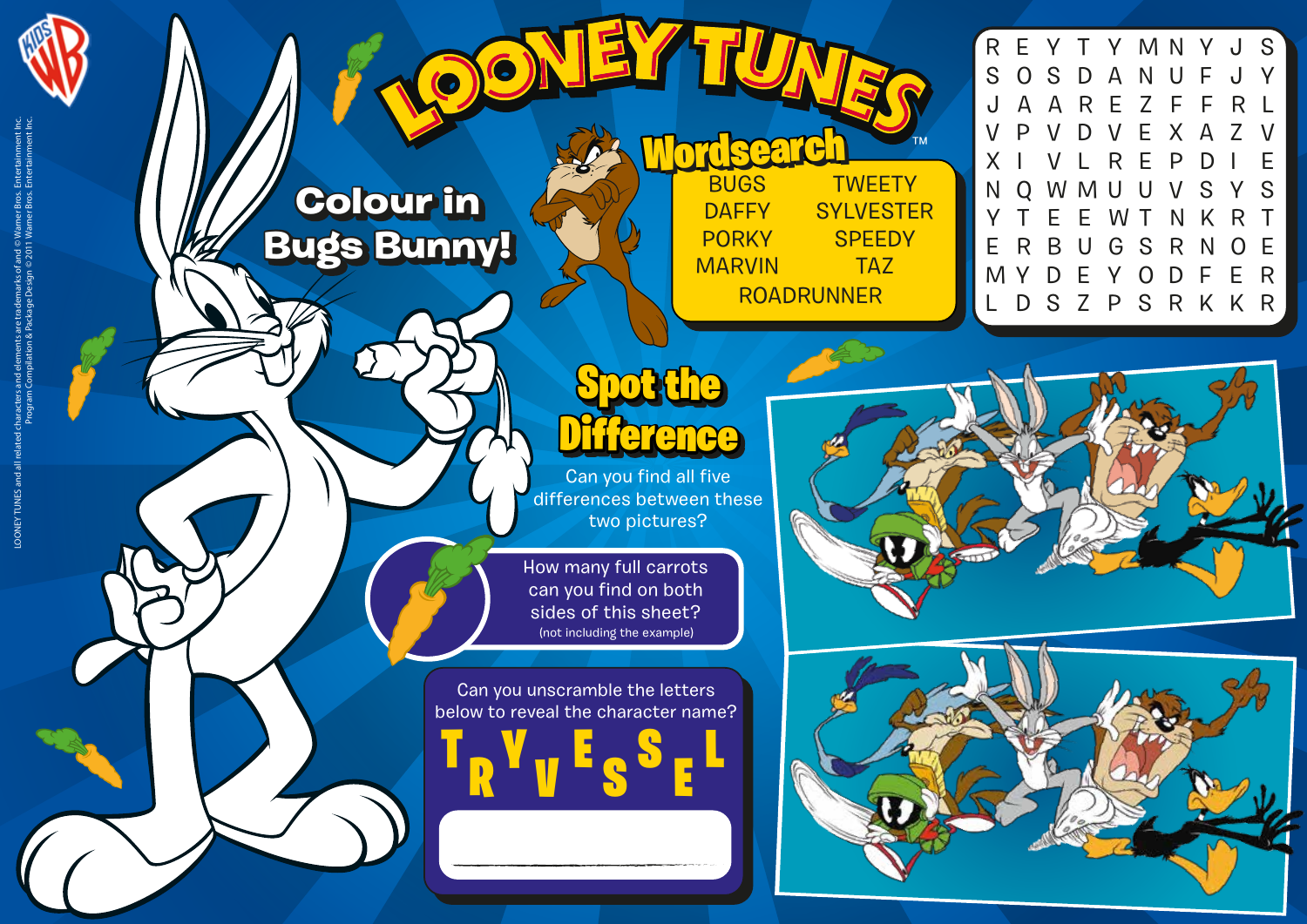